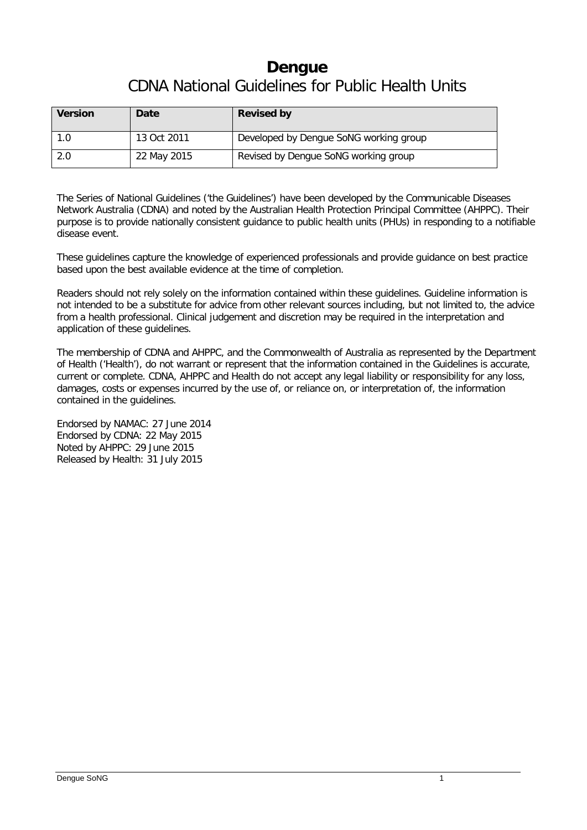# **Dengue** CDNA National Guidelines for Public Health Units

| <b>Version</b> | Date        | <b>Revised by</b>                      |
|----------------|-------------|----------------------------------------|
| 1.0            | 13 Oct 2011 | Developed by Dengue SoNG working group |
| 2.0            | 22 May 2015 | Revised by Dengue SoNG working group   |

The Series of National Guidelines ('the Guidelines') have been developed by the Communicable Diseases Network Australia (CDNA) and noted by the Australian Health Protection Principal Committee (AHPPC). Their purpose is to provide nationally consistent guidance to public health units (PHUs) in responding to a notifiable disease event.

These guidelines capture the knowledge of experienced professionals and provide guidance on best practice based upon the best available evidence at the time of completion.

Readers should not rely solely on the information contained within these guidelines. Guideline information is not intended to be a substitute for advice from other relevant sources including, but not limited to, the advice from a health professional. Clinical judgement and discretion may be required in the interpretation and application of these guidelines.

The membership of CDNA and AHPPC, and the Commonwealth of Australia as represented by the Department of Health ('Health'), do not warrant or represent that the information contained in the Guidelines is accurate, current or complete. CDNA, AHPPC and Health do not accept any legal liability or responsibility for any loss, damages, costs or expenses incurred by the use of, or reliance on, or interpretation of, the information contained in the guidelines.

Endorsed by NAMAC: 27 June 2014 Endorsed by CDNA: 22 May 2015 Noted by AHPPC: 29 June 2015 Released by Health: 31 July 2015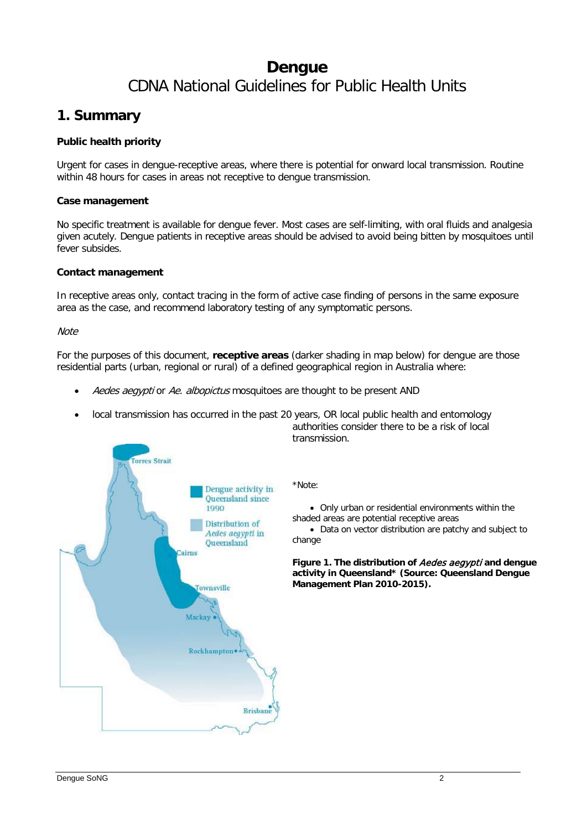# **Dengue** CDNA National Guidelines for Public Health Units

### **1. Summary**

#### **Public health priority**

Urgent for cases in dengue-receptive areas, where there is potential for onward local transmission. Routine within 48 hours for cases in areas not receptive to dengue transmission.

#### **Case management**

No specific treatment is available for dengue fever. Most cases are self-limiting, with oral fluids and analgesia given acutely. Dengue patients in receptive areas should be advised to avoid being bitten by mosquitoes until fever subsides.

#### **Contact management**

In receptive areas only, contact tracing in the form of active case finding of persons in the same exposure area as the case, and recommend laboratory testing of any symptomatic persons.

#### **Note**

For the purposes of this document, **receptive areas** (darker shading in map below) for dengue are those residential parts (urban, regional or rural) of a defined geographical region in Australia where:

- Aedes aegypti or Ae. albopictus mosquitoes are thought to be present AND
- local transmission has occurred in the past 20 years, OR local public health and entomology authorities consider there to be a risk of local transmission.

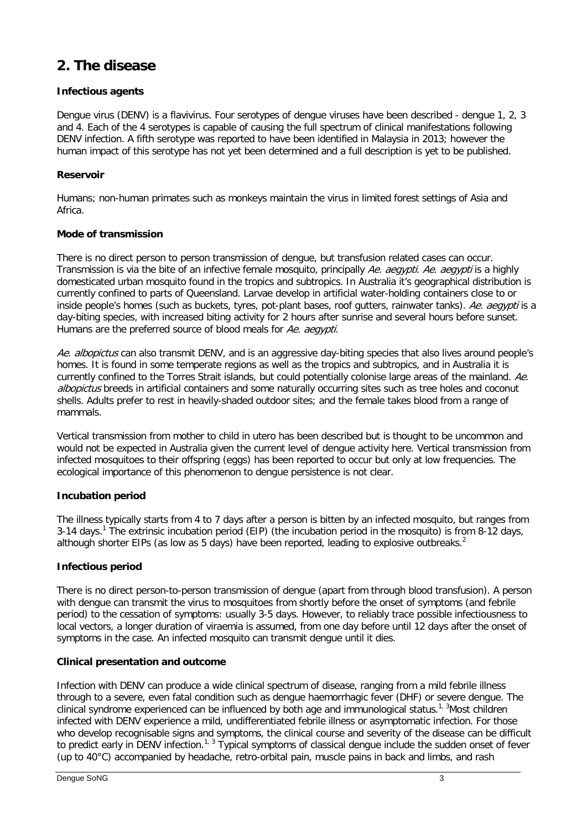## **2. The disease**

#### **Infectious agents**

Dengue virus (DENV) is a flavivirus. Four serotypes of dengue viruses have been described - dengue 1, 2, 3 and 4. Each of the 4 serotypes is capable of causing the full spectrum of clinical manifestations following DENV infection. A fifth serotype was reported to have been identified in Malaysia in 2013; however the human impact of this serotype has not yet been determined and a full description is yet to be published.

#### **Reservoir**

Humans; non-human primates such as monkeys maintain the virus in limited forest settings of Asia and Africa.

#### **Mode of transmission**

There is no direct person to person transmission of dengue, but transfusion related cases can occur. Transmission is via the bite of an infective female mosquito, principally Ae. aegypti. Ae. aegypti is a highly domesticated urban mosquito found in the tropics and subtropics. In Australia it's geographical distribution is currently confined to parts of Queensland. Larvae develop in artificial water-holding containers close to or inside people's homes (such as buckets, tyres, pot-plant bases, roof gutters, rainwater tanks). Ae. aegypti is a day-biting species, with increased biting activity for 2 hours after sunrise and several hours before sunset. Humans are the preferred source of blood meals for Ae. aeavpti.

Ae. albopictus can also transmit DENV, and is an aggressive day-biting species that also lives around people's homes. It is found in some temperate regions as well as the tropics and subtropics, and in Australia it is currently confined to the Torres Strait islands, but could potentially colonise large areas of the mainland, Ae. albopictus breeds in artificial containers and some naturally occurring sites such as tree holes and coconut shells. Adults prefer to rest in heavily-shaded outdoor sites; and the female takes blood from a range of mammals.

Vertical transmission from mother to child in utero has been described but is thought to be uncommon and would not be expected in Australia given the current level of dengue activity here. Vertical transmission from infected mosquitoes to their offspring (eggs) has been reported to occur but only at low frequencies. The ecological importance of this phenomenon to dengue persistence is not clear.

#### **Incubation period**

The illness typically starts from 4 to 7 days after a person is bitten by an infected mosquito, but ranges from 3-[1](#page-12-0)4 days.<sup>1</sup> The extrinsic incubation period (EIP) (the incubation period in the mosquito) is from 8-12 days, although shorter EIPs (as low as 5 days) have been reported, leading to explosive outbreaks.<sup>[2](#page-12-1)</sup>

#### **Infectious period**

There is no direct person-to-person transmission of dengue (apart from through blood transfusion). A person with dengue can transmit the virus to mosquitoes from shortly before the onset of symptoms (and febrile period) to the cessation of symptoms: usually 3-5 days. However, to reliably trace possible infectiousness to local vectors, a longer duration of viraemia is assumed, from one day before until 12 days after the onset of symptoms in the case. An infected mosquito can transmit dengue until it dies.

#### **Clinical presentation and outcome**

Infection with DENV can produce a wide clinical spectrum of disease, ranging from a mild febrile illness through to a severe, even fatal condition such as dengue haemorrhagic fever (DHF) or severe dengue. The clinical syndrome experienced can be influenced by both age and immunological status.<sup>1, [3](#page-12-2)</sup>Most children infected with DENV experience a mild, undifferentiated febrile illness or asymptomatic infection. For those who develop recognisable signs and symptoms, the clinical course and severity of the disease can be difficult to predict early in DENV infection.<sup>[1,](#page-12-0) [3](#page-12-2)</sup> Typical symptoms of classical dengue include the sudden onset of fever (up to 40°C) accompanied by headache, retro-orbital pain, muscle pains in back and limbs, and rash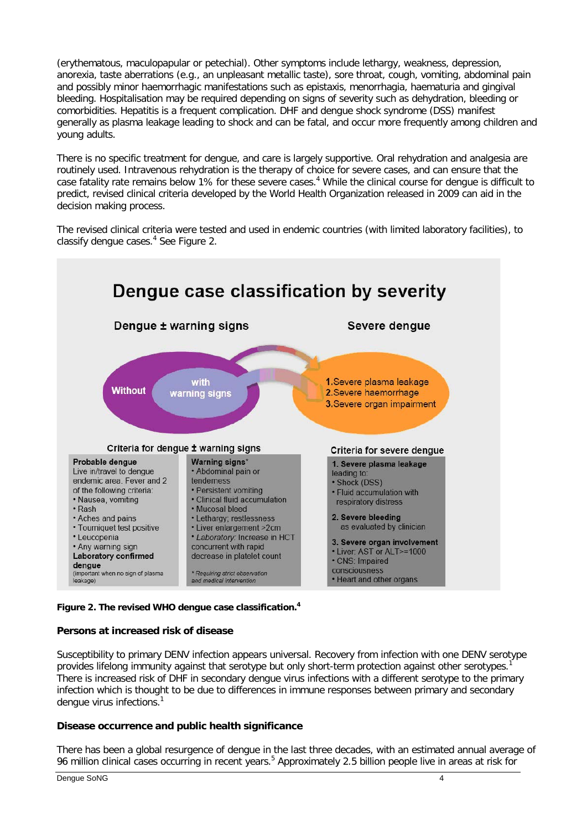(erythematous, maculopapular or petechial). Other symptoms include lethargy, weakness, depression, anorexia, taste aberrations (e.g., an unpleasant metallic taste), sore throat, cough, vomiting, abdominal pain and possibly minor haemorrhagic manifestations such as epistaxis, menorrhagia, haematuria and gingival bleeding. Hospitalisation may be required depending on signs of severity such as dehydration, bleeding or comorbidities. Hepatitis is a frequent complication. DHF and dengue shock syndrome (DSS) manifest generally as plasma leakage leading to shock and can be fatal, and occur more frequently among children and young adults.

There is no specific treatment for dengue, and care is largely supportive. Oral rehydration and analgesia are routinely used. Intravenous rehydration is the therapy of choice for severe cases, and can ensure that the case fatality rate remains below 1% for these severe cases.<sup>4</sup> While the clinical course for dengue is difficult to predict, revised clinical criteria developed by the World Health Organization released in 2009 can aid in the decision making process.

The revised clinical criteria were tested and used in endemic countries (with limited laboratory facilities), to classify dengue cases.<sup>[4](#page-12-3)</sup> See Figure 2.



#### **Figure 2. The revised WHO dengue case classification[.4](#page-12-3)**

#### **Persons at increased risk of disease**

Susceptibility to primary DENV infection appears universal. Recovery from infection with one DENV serotype provides lifelong immunity against that serotype but only short-term protection against other serotypes. There is increased risk of DHF in secondary dengue virus infections with a different serotype to the primary infection which is thought to be due to differences in immune responses between primary and secondary dengue virus infections.<sup>1</sup>

#### **Disease occurrence and public health significance**

There has been a global resurgence of dengue in the last three decades, with an estimated annual average of 96 million clinical cases occurring in recent years.<sup>5</sup> Approximately 2[.5](#page-12-4) billion people live in areas at risk for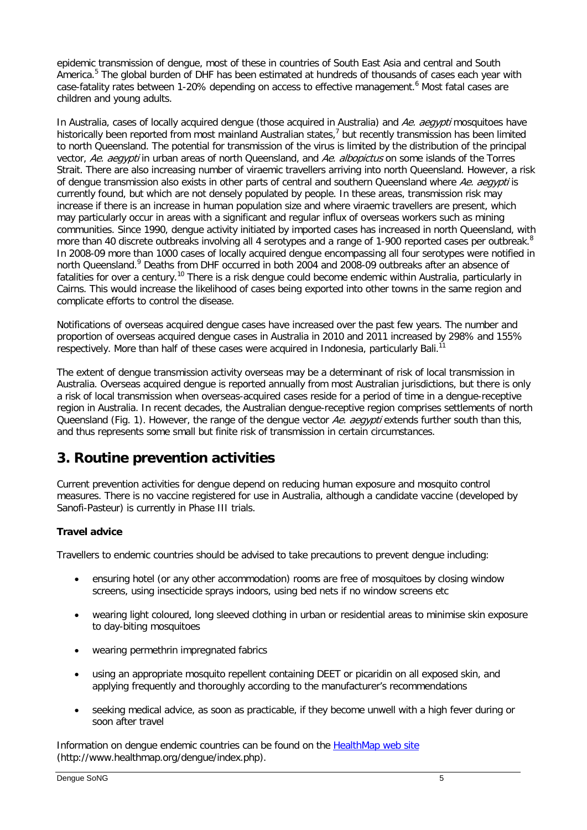epidemic transmission of dengue, most of these in countries of South East Asia and central and South America.<sup>[5](#page-12-4)</sup> The global burden of DHF has been estimated at hundreds of thousands of cases each year with case-fatality rates between 1-20% depending on access to effective management.<sup>[6](#page-12-5)</sup> Most fatal cases are children and young adults.

In Australia, cases of locally acquired dengue (those acquired in Australia) and Ae. aegypti mosquitoes have historically been reported from most mainland Australian states,<sup>7</sup> but recently transmission has been limited to north Queensland. The potential for transmission of the virus is limited by the distribution of the principal vector, Ae. aegypti in urban areas of north Queensland, and Ae. albopictus on some islands of the Torres Strait. There are also increasing number of viraemic travellers arriving into north Queensland. However, a risk of dengue transmission also exists in other parts of central and southern Queensland where Ae. aegypti is currently found, but which are not densely populated by people. In these areas, transmission risk may increase if there is an increase in human population size and where viraemic travellers are present, which may particularly occur in areas with a significant and regular influx of overseas workers such as mining communities. Since 1990, dengue activity initiated by imported cases has increased in north Queensland, with more than 40 discrete outbreaks involving all 4 serotypes and a range of 1-900 reported cases per outbreak[.](#page-12-7)<sup>8</sup> In 2008-09 more than 1000 cases of locally acquired dengue encompassing all four serotypes were notified in north Queensland.<sup>9</sup> Deaths from DHF occurred in both 2004 and 2008-09 outbreaks after an absence of fatalities for over a century.<sup>[10](#page-12-9)</sup> There is a risk dengue could become endemic within Australia, particularly in Cairns. This would increase the likelihood of cases being exported into other towns in the same region and complicate efforts to control the disease.

Notifications of overseas acquired dengue cases have increased over the past few years. The number and proportion of overseas acquired dengue cases in Australia in 2010 and 2011 increased by 298% and 155% respectively. More than half of these cases were acquired in Indonesia, particularly Bali.

The extent of dengue transmission activity overseas may be a determinant of risk of local transmission in Australia. Overseas acquired dengue is reported annually from most Australian jurisdictions, but there is only a risk of local transmission when overseas-acquired cases reside for a period of time in a dengue-receptive region in Australia. In recent decades, the Australian dengue-receptive region comprises settlements of north Queensland (Fig. 1). However, the range of the dengue vector Ae. aegypti extends further south than this, and thus represents some small but finite risk of transmission in certain circumstances.

# **3. Routine prevention activities**

Current prevention activities for dengue depend on reducing human exposure and mosquito control measures. There is no vaccine registered for use in Australia, although a candidate vaccine (developed by Sanofi-Pasteur) is currently in Phase III trials.

### **Travel advice**

Travellers to endemic countries should be advised to take precautions to prevent dengue including:

- ensuring hotel (or any other accommodation) rooms are free of mosquitoes by closing window screens, using insecticide sprays indoors, using bed nets if no window screens etc
- wearing light coloured, long sleeved clothing in urban or residential areas to minimise skin exposure to day-biting mosquitoes
- wearing permethrin impregnated fabrics
- using an appropriate mosquito repellent containing DEET or picaridin on all exposed skin, and applying frequently and thoroughly according to the manufacturer's recommendations
- seeking medical advice, as soon as practicable, if they become unwell with a high fever during or soon after travel

Information on dengue endemic countries can be found on the [HealthMap web site](http://www.healthmap.org/dengue/index.php) (http://www.healthmap.org/dengue/index.php).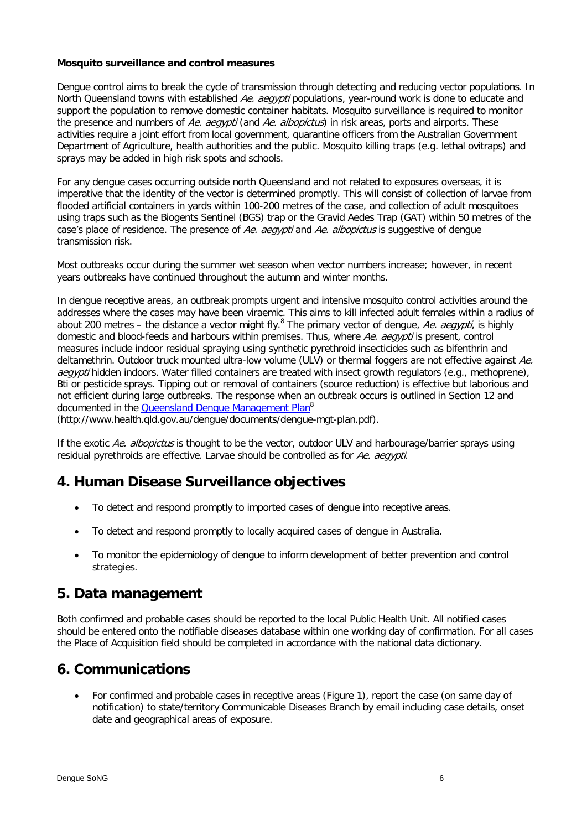#### **Mosquito surveillance and control measures**

Dengue control aims to break the cycle of transmission through detecting and reducing vector populations. In North Queensland towns with established Ae. aegypti populations, year-round work is done to educate and support the population to remove domestic container habitats. Mosquito surveillance is required to monitor the presence and numbers of Ae. aegypti (and Ae. albopictus) in risk areas, ports and airports. These activities require a joint effort from local government, quarantine officers from the Australian Government Department of Agriculture, health authorities and the public. Mosquito killing traps (e.g. lethal ovitraps) and sprays may be added in high risk spots and schools.

For any dengue cases occurring outside north Queensland and not related to exposures overseas, it is imperative that the identity of the vector is determined promptly. This will consist of collection of larvae from flooded artificial containers in yards within 100-200 metres of the case, and collection of adult mosquitoes using traps such as the Biogents Sentinel (BGS) trap or the Gravid Aedes Trap (GAT) within 50 metres of the case's place of residence. The presence of Ae. aeavpti and Ae. albopictus is suggestive of dengue transmission risk.

Most outbreaks occur during the summer wet season when vector numbers increase; however, in recent years outbreaks have continued throughout the autumn and winter months.

In dengue receptive areas, an outbreak prompts urgent and intensive mosquito control activities around the addresses where the cases may have been viraemic. This aims to kill infected adult females within a radius of about 200 metres – the distance a vector might fly[.](#page-12-7)<sup>8</sup> The primary vector of dengue, Ae. aegypti, is highly domestic and blood-feeds and harbours within premises. Thus, where Ae. aegypti is present, control measures include indoor residual spraying using synthetic pyrethroid insecticides such as bifenthrin and deltamethrin. Outdoor truck mounted ultra-low volume (ULV) or thermal foggers are not effective against Ae. aegypti hidden indoors. Water filled containers are treated with insect growth regulators (e.g., methoprene), Bti or pesticide sprays. Tipping out or removal of containers (source reduction) is effective but laborious and not efficient during large outbreaks. The response when an outbreak occurs is outlined in Section 12 and documented in the Queensland Dengue Management Plan<sup>8</sup>

(http://www.health.qld.gov.au/dengue/documents/dengue-mgt-plan.pdf).

If the exotic Ae. albopictus is thought to be the vector, outdoor ULV and harbourage/barrier sprays using residual pyrethroids are effective. Larvae should be controlled as for Ae. aegypti.

### **4. Human Disease Surveillance objectives**

- To detect and respond promptly to imported cases of dengue into receptive areas.
- To detect and respond promptly to locally acquired cases of dengue in Australia.
- To monitor the epidemiology of dengue to inform development of better prevention and control strategies.

### **5. Data management**

Both confirmed and probable cases should be reported to the local Public Health Unit. All notified cases should be entered onto the notifiable diseases database within one working day of confirmation. For all cases the Place of Acquisition field should be completed in accordance with the national data dictionary.

## **6. Communications**

• For confirmed and probable cases in receptive areas (Figure 1), report the case (on same day of notification) to state/territory Communicable Diseases Branch by email including case details, onset date and geographical areas of exposure.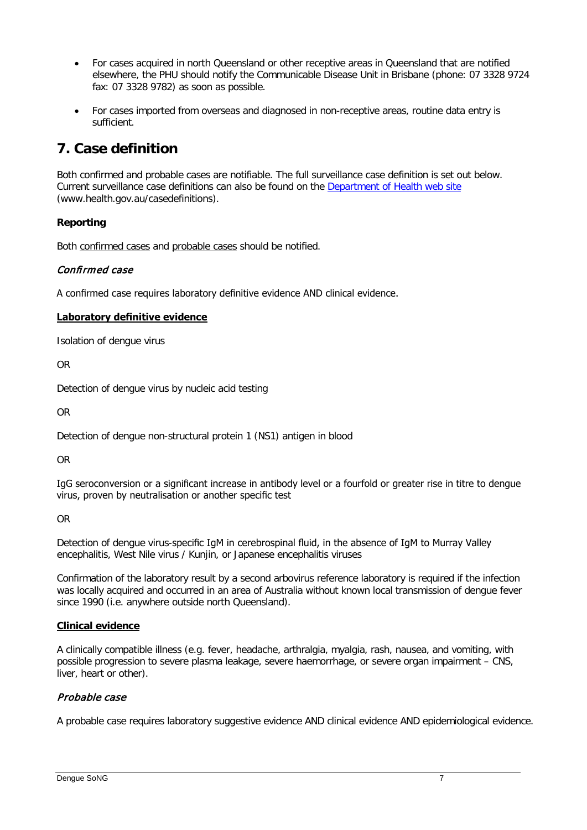- For cases acquired in north Queensland or other receptive areas in Queensland that are notified elsewhere, the PHU should notify the Communicable Disease Unit in Brisbane (phone: 07 3328 9724 fax: 07 3328 9782) as soon as possible.
- For cases imported from overseas and diagnosed in non-receptive areas, routine data entry is sufficient.

# **7. Case definition**

Both confirmed and probable cases are notifiable. The full surveillance case definition is set out below. Current surveillance case definitions can also be found on the [Department of Health web site](http://www.health.gov.au/casedefinitions) (www.health.gov.au/casedefinitions).

#### **Reporting**

Both confirmed cases and probable cases should be notified.

#### Confirmed case

A confirmed case requires laboratory definitive evidence AND clinical evidence.

#### **Laboratory definitive evidence**

Isolation of dengue virus

OR

Detection of dengue virus by nucleic acid testing

OR

Detection of dengue non-structural protein 1 (NS1) antigen in blood

OR

IgG seroconversion or a significant increase in antibody level or a fourfold or greater rise in titre to dengue virus, proven by neutralisation or another specific test

OR

Detection of dengue virus-specific IgM in cerebrospinal fluid, in the absence of IgM to Murray Valley encephalitis, West Nile virus / Kunjin, or Japanese encephalitis viruses

Confirmation of the laboratory result by a second arbovirus reference laboratory is required if the infection was locally acquired and occurred in an area of Australia without known local transmission of dengue fever since 1990 (i.e. anywhere outside north Queensland).

#### **Clinical evidence**

A clinically compatible illness (e.g. fever, headache, arthralgia, myalgia, rash, nausea, and vomiting, with possible progression to severe plasma leakage, severe haemorrhage, or severe organ impairment – CNS, liver, heart or other).

### Probable case

A probable case requires laboratory suggestive evidence AND clinical evidence AND epidemiological evidence.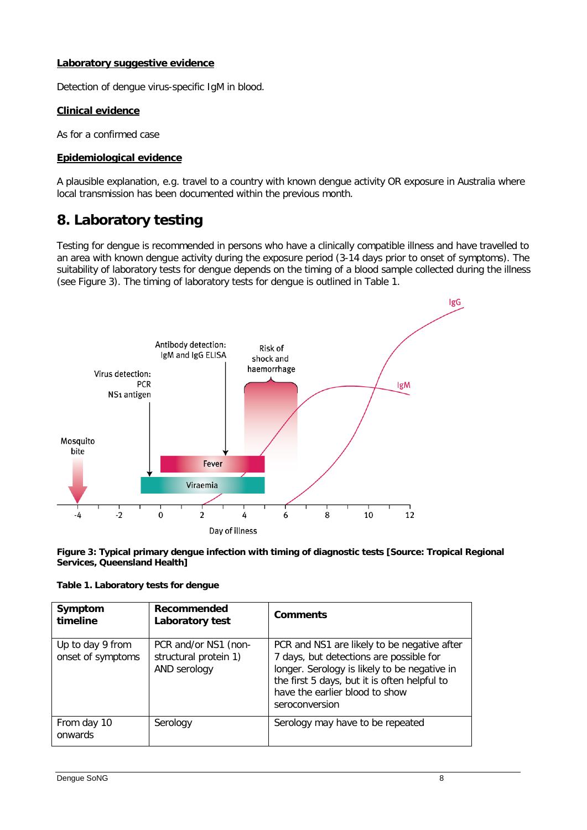#### **Laboratory suggestive evidence**

Detection of dengue virus-specific IgM in blood.

#### **Clinical evidence**

As for a confirmed case

#### **Epidemiological evidence**

A plausible explanation, e.g. travel to a country with known dengue activity OR exposure in Australia where local transmission has been documented within the previous month.

## **8. Laboratory testing**

Testing for dengue is recommended in persons who have a clinically compatible illness and have travelled to an area with known dengue activity during the exposure period (3-14 days prior to onset of symptoms). The suitability of laboratory tests for dengue depends on the timing of a blood sample collected during the illness (see Figure 3). The timing of laboratory tests for dengue is outlined in Table 1.



**Figure 3: Typical primary dengue infection with timing of diagnostic tests [Source: Tropical Regional Services, Queensland Health]**

| Table 1. Laboratory tests for dengue |
|--------------------------------------|
|--------------------------------------|

| Symptom<br>timeline                   | Recommended<br>Laboratory test                                | <b>Comments</b>                                                                                                                                                                                                                            |
|---------------------------------------|---------------------------------------------------------------|--------------------------------------------------------------------------------------------------------------------------------------------------------------------------------------------------------------------------------------------|
| Up to day 9 from<br>onset of symptoms | PCR and/or NS1 (non-<br>structural protein 1)<br>AND serology | PCR and NS1 are likely to be negative after<br>7 days, but detections are possible for<br>longer. Serology is likely to be negative in<br>the first 5 days, but it is often helpful to<br>have the earlier blood to show<br>seroconversion |
| From day 10<br>onwards                | Serology                                                      | Serology may have to be repeated                                                                                                                                                                                                           |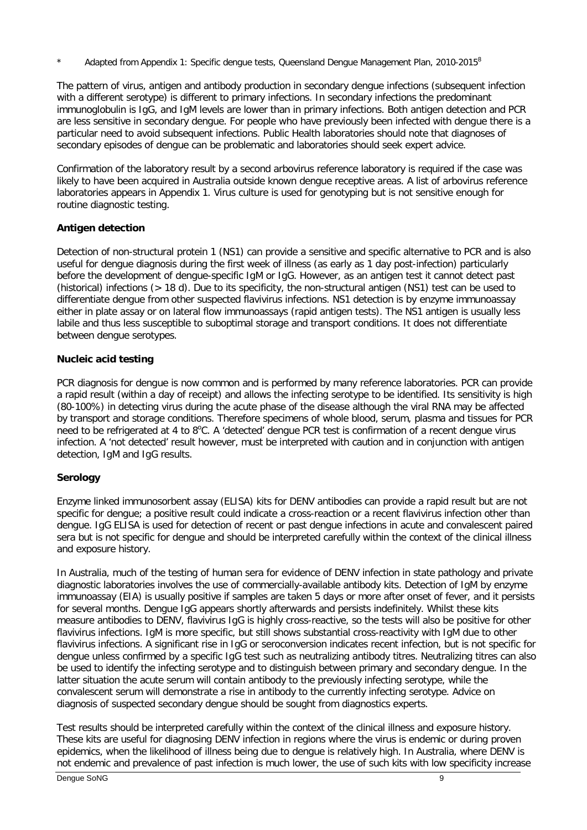Adapted from Appendix 1: Specific dengue tests, Queensland Dengue Management Plan, 2010-2015<sup>8</sup>

The pattern of virus, antigen and antibody production in secondary dengue infections (subsequent infection with a different serotype) is different to primary infections. In secondary infections the predominant immunoglobulin is IgG, and IgM levels are lower than in primary infections. Both antigen detection and PCR are less sensitive in secondary dengue. For people who have previously been infected with dengue there is a particular need to avoid subsequent infections. Public Health laboratories should note that diagnoses of secondary episodes of dengue can be problematic and laboratories should seek expert advice.

Confirmation of the laboratory result by a second arbovirus reference laboratory is required if the case was likely to have been acquired in Australia outside known dengue receptive areas. A list of arbovirus reference laboratories appears in Appendix 1. Virus culture is used for genotyping but is not sensitive enough for routine diagnostic testing.

#### **Antigen detection**

Detection of non-structural protein 1 (NS1) can provide a sensitive and specific alternative to PCR and is also useful for dengue diagnosis during the first week of illness (as early as 1 day post-infection) particularly before the development of dengue-specific IgM or IgG. However, as an antigen test it cannot detect past (historical) infections (> 18 d). Due to its specificity, the non-structural antigen (NS1) test can be used to differentiate dengue from other suspected flavivirus infections. NS1 detection is by enzyme immunoassay either in plate assay or on lateral flow immunoassays (rapid antigen tests). The NS1 antigen is usually less labile and thus less susceptible to suboptimal storage and transport conditions. It does not differentiate between dengue serotypes.

#### **Nucleic acid testing**

PCR diagnosis for dengue is now common and is performed by many reference laboratories. PCR can provide a rapid result (within a day of receipt) and allows the infecting serotype to be identified. Its sensitivity is high (80-100%) in detecting virus during the acute phase of the disease although the viral RNA may be affected by transport and storage conditions. Therefore specimens of whole blood, serum, plasma and tissues for PCR need to be refrigerated at 4 to 8°C. A 'detected' dengue PCR test is confirmation of a recent dengue virus infection. A 'not detected' result however, must be interpreted with caution and in conjunction with antigen detection, IgM and IgG results.

### **Serology**

Enzyme linked immunosorbent assay (ELISA) kits for DENV antibodies can provide a rapid result but are not specific for dengue; a positive result could indicate a cross-reaction or a recent flavivirus infection other than dengue. IgG ELISA is used for detection of recent or past dengue infections in acute and convalescent paired sera but is not specific for dengue and should be interpreted carefully within the context of the clinical illness and exposure history.

In Australia, much of the testing of human sera for evidence of DENV infection in state pathology and private diagnostic laboratories involves the use of commercially-available antibody kits. Detection of IgM by enzyme immunoassay (EIA) is usually positive if samples are taken 5 days or more after onset of fever, and it persists for several months. Dengue IgG appears shortly afterwards and persists indefinitely. Whilst these kits measure antibodies to DENV, flavivirus IgG is highly cross-reactive, so the tests will also be positive for other flavivirus infections. IgM is more specific, but still shows substantial cross-reactivity with IgM due to other flavivirus infections. A significant rise in IgG or seroconversion indicates recent infection, but is not specific for dengue unless confirmed by a specific IgG test such as neutralizing antibody titres. Neutralizing titres can also be used to identify the infecting serotype and to distinguish between primary and secondary dengue. In the latter situation the acute serum will contain antibody to the previously infecting serotype, while the convalescent serum will demonstrate a rise in antibody to the currently infecting serotype. Advice on diagnosis of suspected secondary dengue should be sought from diagnostics experts.

Test results should be interpreted carefully within the context of the clinical illness and exposure history. These kits are useful for diagnosing DENV infection in regions where the virus is endemic or during proven epidemics, when the likelihood of illness being due to dengue is relatively high. In Australia, where DENV is not endemic and prevalence of past infection is much lower, the use of such kits with low specificity increase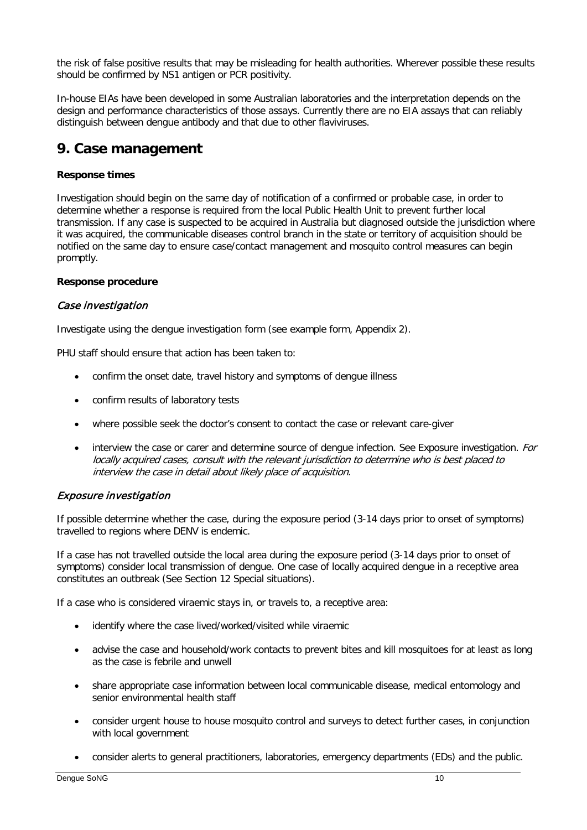the risk of false positive results that may be misleading for health authorities. Wherever possible these results should be confirmed by NS1 antigen or PCR positivity.

In-house EIAs have been developed in some Australian laboratories and the interpretation depends on the design and performance characteristics of those assays. Currently there are no EIA assays that can reliably distinguish between dengue antibody and that due to other flaviviruses.

## **9. Case management**

#### **Response times**

Investigation should begin on the same day of notification of a confirmed or probable case, in order to determine whether a response is required from the local Public Health Unit to prevent further local transmission. If any case is suspected to be acquired in Australia but diagnosed outside the jurisdiction where it was acquired, the communicable diseases control branch in the state or territory of acquisition should be notified on the same day to ensure case/contact management and mosquito control measures can begin promptly.

#### **Response procedure**

#### Case investigation

Investigate using the dengue investigation form (see example form, Appendix 2).

PHU staff should ensure that action has been taken to:

- confirm the onset date, travel history and symptoms of dengue illness
- confirm results of laboratory tests
- where possible seek the doctor's consent to contact the case or relevant care-giver
- interview the case or carer and determine source of dengue infection. See Exposure investigation. For locally acquired cases, consult with the relevant jurisdiction to determine who is best placed to interview the case in detail about likely place of acquisition.

### Exposure investigation

If possible determine whether the case, during the exposure period (3-14 days prior to onset of symptoms) travelled to regions where DENV is endemic.

If a case has not travelled outside the local area during the exposure period (3-14 days prior to onset of symptoms) consider local transmission of dengue. One case of locally acquired dengue in a receptive area constitutes an outbreak (See Section 12 Special situations).

If a case who is considered viraemic stays in, or travels to, a receptive area:

- identify where the case lived/worked/visited while viraemic
- advise the case and household/work contacts to prevent bites and kill mosquitoes for at least as long as the case is febrile and unwell
- share appropriate case information between local communicable disease, medical entomology and senior environmental health staff
- consider urgent house to house mosquito control and surveys to detect further cases, in conjunction with local government
- consider alerts to general practitioners, laboratories, emergency departments (EDs) and the public.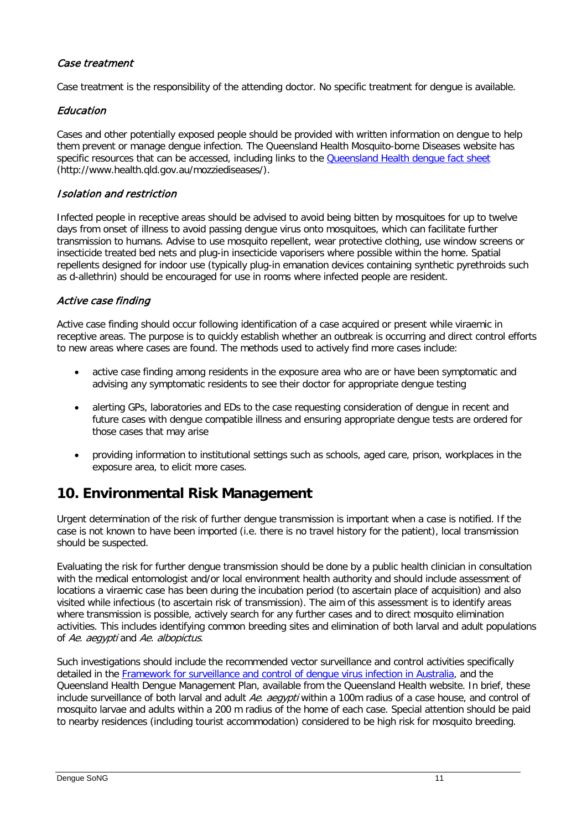### Case treatment

Case treatment is the responsibility of the attending doctor. No specific treatment for dengue is available.

### Education

Cases and other potentially exposed people should be provided with written information on dengue to help them prevent or manage dengue infection. The Queensland Health Mosquito-borne Diseases website has specific resources that can be accessed, including links to the **Queensland Health dengue fact sheet** (http://www.health.qld.gov.au/mozziediseases/).

#### Isolation and restriction

Infected people in receptive areas should be advised to avoid being bitten by mosquitoes for up to twelve days from onset of illness to avoid passing dengue virus onto mosquitoes, which can facilitate further transmission to humans. Advise to use mosquito repellent, wear protective clothing, use window screens or insecticide treated bed nets and plug-in insecticide vaporisers where possible within the home. Spatial repellents designed for indoor use (typically plug-in emanation devices containing synthetic pyrethroids such as d-allethrin) should be encouraged for use in rooms where infected people are resident.

### Active case finding

Active case finding should occur following identification of a case acquired or present while viraemic in receptive areas. The purpose is to quickly establish whether an outbreak is occurring and direct control efforts to new areas where cases are found. The methods used to actively find more cases include:

- active case finding among residents in the exposure area who are or have been symptomatic and advising any symptomatic residents to see their doctor for appropriate dengue testing
- alerting GPs, laboratories and EDs to the case requesting consideration of dengue in recent and future cases with dengue compatible illness and ensuring appropriate dengue tests are ordered for those cases that may arise
- providing information to institutional settings such as schools, aged care, prison, workplaces in the exposure area, to elicit more cases.

## **10. Environmental Risk Management**

Urgent determination of the risk of further dengue transmission is important when a case is notified. If the case is not known to have been imported (i.e. there is no travel history for the patient), local transmission should be suspected.

Evaluating the risk for further dengue transmission should be done by a public health clinician in consultation with the medical entomologist and/or local environment health authority and should include assessment of locations a viraemic case has been during the incubation period (to ascertain place of acquisition) and also visited while infectious (to ascertain risk of transmission). The aim of this assessment is to identify areas where transmission is possible, actively search for any further cases and to direct mosquito elimination activities. This includes identifying common breeding sites and elimination of both larval and adult populations of Ae. aegypti and Ae. albopictus.

Such investigations should include the recommended vector surveillance and control activities specifically detailed in the [Framework for surveillance and control of dengue virus infection in Australia,](http://www.health.gov.au/internet/main/publishing.nsf/Content/cdna-song-dengue.htm%23framework) and the Queensland Health Dengue Management Plan, available from the Queensland Health website. In brief, these include surveillance of both larval and adult Ae. aegypti within a 100m radius of a case house, and control of mosquito larvae and adults within a 200 m radius of the home of each case. Special attention should be paid to nearby residences (including tourist accommodation) considered to be high risk for mosquito breeding.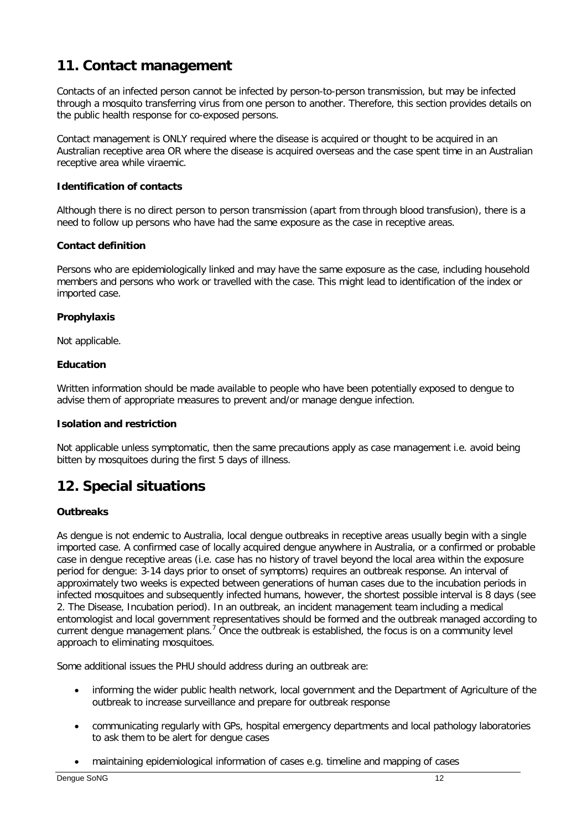# **11. Contact management**

Contacts of an infected person cannot be infected by person-to-person transmission, but may be infected through a mosquito transferring virus from one person to another. Therefore, this section provides details on the public health response for co-exposed persons.

Contact management is ONLY required where the disease is acquired or thought to be acquired in an Australian receptive area OR where the disease is acquired overseas and the case spent time in an Australian receptive area while viraemic.

#### **Identification of contacts**

Although there is no direct person to person transmission (apart from through blood transfusion), there is a need to follow up persons who have had the same exposure as the case in receptive areas.

#### **Contact definition**

Persons who are epidemiologically linked and may have the same exposure as the case, including household members and persons who work or travelled with the case. This might lead to identification of the index or imported case.

#### **Prophylaxis**

Not applicable.

#### **Education**

Written information should be made available to people who have been potentially exposed to dengue to advise them of appropriate measures to prevent and/or manage dengue infection.

#### **Isolation and restriction**

Not applicable unless symptomatic, then the same precautions apply as case management i.e. avoid being bitten by mosquitoes during the first 5 days of illness.

## **12. Special situations**

### **Outbreaks**

As dengue is not endemic to Australia, local dengue outbreaks in receptive areas usually begin with a single imported case. A confirmed case of locally acquired dengue anywhere in Australia, or a confirmed or probable case in dengue receptive areas (i.e. case has no history of travel beyond the local area within the exposure period for dengue: 3-14 days prior to onset of symptoms) requires an outbreak response. An interval of approximately two weeks is expected between generations of human cases due to the incubation periods in infected mosquitoes and subsequently infected humans, however, the shortest possible interval is 8 days (see 2. The Disease, Incubation period). In an outbreak, an incident management team including a medical entomologist and local government representatives should be formed and the outbreak managed according to current dengue management plans.<sup>7</sup> Once the outbreak is established, the focus is on a community level approach to eliminating mosquitoes.

Some additional issues the PHU should address during an outbreak are:

- informing the wider public health network, local government and the Department of Agriculture of the outbreak to increase surveillance and prepare for outbreak response
- communicating regularly with GPs, hospital emergency departments and local pathology laboratories to ask them to be alert for dengue cases
- maintaining epidemiological information of cases e.g. timeline and mapping of cases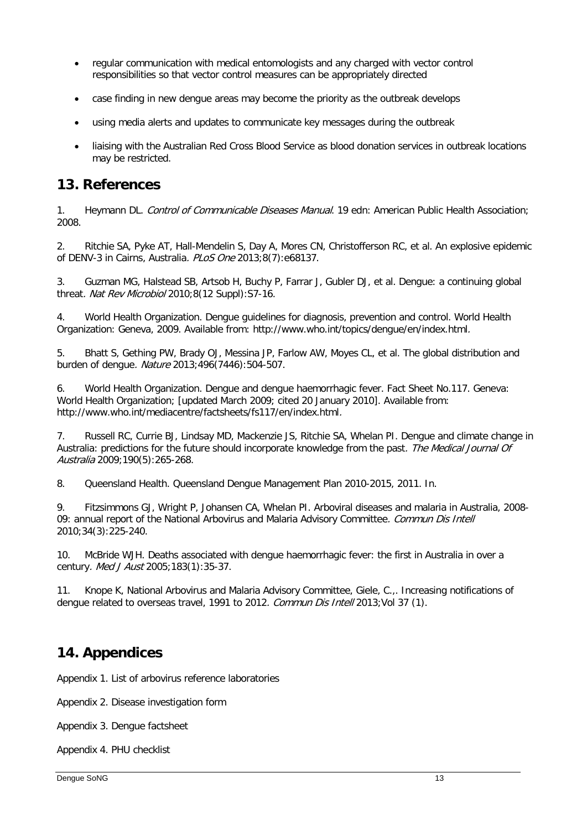- regular communication with medical entomologists and any charged with vector control responsibilities so that vector control measures can be appropriately directed
- case finding in new dengue areas may become the priority as the outbreak develops
- using media alerts and updates to communicate key messages during the outbreak
- liaising with the Australian Red Cross Blood Service as blood donation services in outbreak locations may be restricted.

### **13. References**

<span id="page-12-0"></span>1. Heymann DL. Control of Communicable Diseases Manual. 19 edn: American Public Health Association; 2008.

<span id="page-12-1"></span>2. Ritchie SA, Pyke AT, Hall-Mendelin S, Day A, Mores CN, Christofferson RC, et al. An explosive epidemic of DENV-3 in Cairns, Australia. PLoS One 2013;8(7):e68137.

<span id="page-12-2"></span>3. Guzman MG, Halstead SB, Artsob H, Buchy P, Farrar J, Gubler DJ, et al. Dengue: a continuing global threat. Nat Rev Microbiol 2010;8(12 Suppl):S7-16.

<span id="page-12-3"></span>4. World Health Organization. Dengue guidelines for diagnosis, prevention and control. World Health Organization: Geneva, 2009. Available from: http://www.who.int/topics/dengue/en/index.html.

<span id="page-12-4"></span>5. Bhatt S, Gething PW, Brady OJ, Messina JP, Farlow AW, Moyes CL, et al. The global distribution and burden of dengue. Nature 2013;496(7446):504-507.

<span id="page-12-5"></span>6. World Health Organization. Dengue and dengue haemorrhagic fever. Fact Sheet No.117. Geneva: World Health Organization; [updated March 2009; cited 20 January 2010]. Available from: http://www.who.int/mediacentre/factsheets/fs117/en/index.html.

<span id="page-12-6"></span>7. Russell RC, Currie BJ, Lindsay MD, Mackenzie JS, Ritchie SA, Whelan PI. Dengue and climate change in Australia: predictions for the future should incorporate knowledge from the past. The Medical Journal Of Australia 2009;190(5):265-268.

<span id="page-12-7"></span>8. Queensland Health. Queensland Dengue Management Plan 2010-2015, 2011. In.

<span id="page-12-8"></span>9. Fitzsimmons GJ, Wright P, Johansen CA, Whelan PI. Arboviral diseases and malaria in Australia, 2008- 09: annual report of the National Arbovirus and Malaria Advisory Committee. Commun Dis Intell 2010;34(3):225-240.

<span id="page-12-9"></span>10. McBride WJH. Deaths associated with dengue haemorrhagic fever: the first in Australia in over a century. Med J Aust 2005;183(1):35-37.

<span id="page-12-10"></span>11. Knope K, National Arbovirus and Malaria Advisory Committee, Giele, C.,. Increasing notifications of dengue related to overseas travel, 1991 to 2012. Commun Dis Intell 2013; Vol 37 (1).

## **14. Appendices**

Appendix 1. List of arbovirus reference laboratories

Appendix 2. Disease investigation form

Appendix 3. Dengue factsheet

Appendix 4. PHU checklist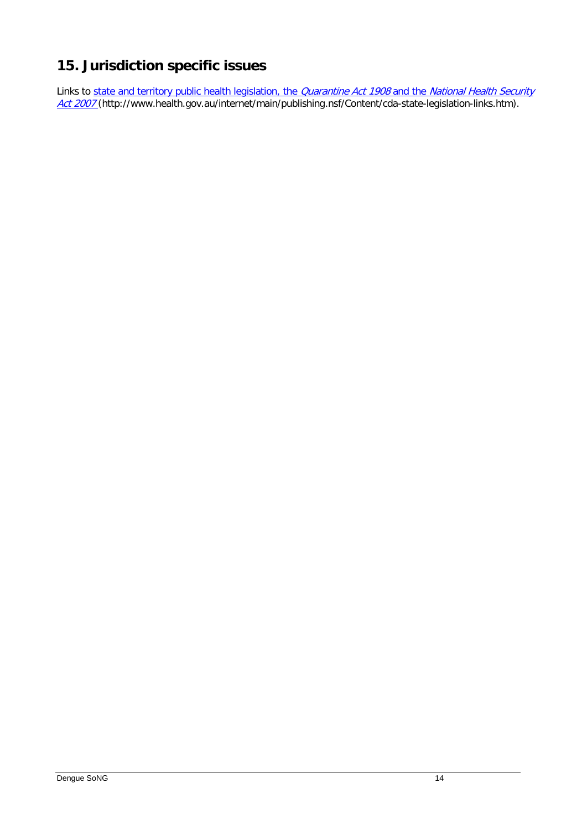# **15. Jurisdiction specific issues**

Links to <u>state and territory public health legislation, the *Quarantine Act 1908* and the *National Health Security*</u> [Act 2007](http://www.health.gov.au/internet/main/publishing.nsf/Content/cda-state-legislation-links.htm) (http://www.health.gov.au/internet/main/publishing.nsf/Content/cda-state-legislation-links.htm).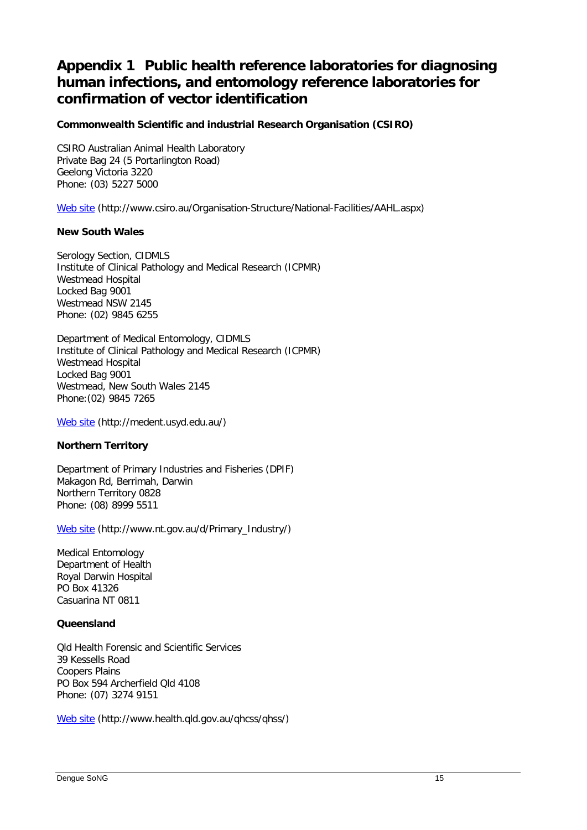# **Appendix 1 Public health reference laboratories for diagnosing human infections, and entomology reference laboratories for confirmation of vector identification**

### **Commonwealth Scientific and industrial Research Organisation (CSIRO)**

CSIRO Australian Animal Health Laboratory Private Bag 24 (5 Portarlington Road) Geelong Victoria 3220 Phone: (03) 5227 5000

[Web site](http://www.csiro.au/Organisation-Structure/National-Facilities/AAHL.aspx) (http://www.csiro.au/Organisation-Structure/National-Facilities/AAHL.aspx)

#### **New South Wales**

Serology Section, CIDMLS Institute of Clinical Pathology and Medical Research (ICPMR) Westmead Hospital Locked Bag 9001 Westmead NSW 2145 Phone: (02) 9845 6255

Department of Medical Entomology, CIDMLS Institute of Clinical Pathology and Medical Research (ICPMR) Westmead Hospital Locked Bag 9001 Westmead, New South Wales 2145 Phone:(02) 9845 7265

[Web site](http://medent.usyd.edu.au/) (http://medent.usyd.edu.au/)

#### **Northern Territory**

Department of Primary Industries and Fisheries (DPIF) Makagon Rd, Berrimah, Darwin Northern Territory 0828 Phone: (08) 8999 5511

[Web site](http://www.nt.gov.au/d/Primary_Industry/) (http://www.nt.gov.au/d/Primary\_Industry/)

Medical Entomology Department of Health Royal Darwin Hospital PO Box 41326 Casuarina NT 0811

#### **Queensland**

Qld Health Forensic and Scientific Services 39 Kessells Road Coopers Plains PO Box 594 Archerfield Qld 4108 Phone: (07) 3274 9151

[Web site](http://www.health.qld.gov.au/qhcss/qhss/) (http://www.health.qld.gov.au/qhcss/qhss/)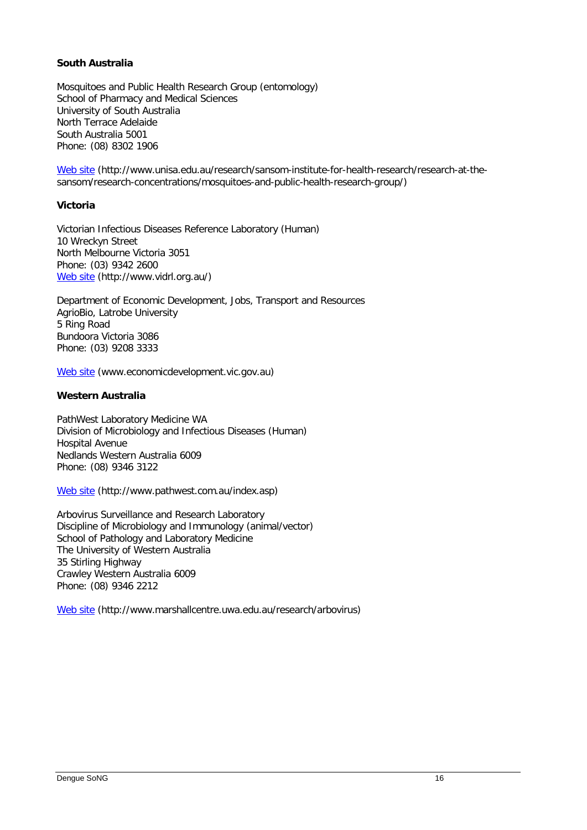#### **South Australia**

Mosquitoes and Public Health Research Group (entomology) School of Pharmacy and Medical Sciences University of South Australia North Terrace Adelaide South Australia 5001 Phone: (08) 8302 1906

[Web site](http://www.unisa.edu.au/research/sansom-institute-for-health-research/research-at-the-sansom/research-concentrations/mosquitoes-and-public-health-research-group/) (http://www.unisa.edu.au/research/sansom-institute-for-health-research/research-at-thesansom/research-concentrations/mosquitoes-and-public-health-research-group/)

#### **Victoria**

Victorian Infectious Diseases Reference Laboratory (Human) 10 Wreckyn Street North Melbourne Victoria 3051 Phone: (03) 9342 2600 [Web site](http://www.vidrl.org.au/) (http://www.vidrl.org.au/)

Department of Economic Development, Jobs, Transport and Resources AgrioBio, Latrobe University 5 Ring Road Bundoora Victoria 3086 Phone: (03) 9208 3333

[Web site](http://www.economicdevelopment.vic.gov.au/) (www.economicdevelopment.vic.gov.au)

#### **Western Australia**

PathWest Laboratory Medicine WA Division of Microbiology and Infectious Diseases (Human) Hospital Avenue Nedlands Western Australia 6009 Phone: (08) 9346 3122

[Web site](http://www.pathwest.com.au/index.asp) (http://www.pathwest.com.au/index.asp)

Arbovirus Surveillance and Research Laboratory Discipline of Microbiology and Immunology (animal/vector) School of Pathology and Laboratory Medicine The University of Western Australia 35 Stirling Highway Crawley Western Australia 6009 Phone: (08) 9346 2212

[Web site](http://www.marshallcentre.uwa.edu.au/research/arbovirus) (http://www.marshallcentre.uwa.edu.au/research/arbovirus)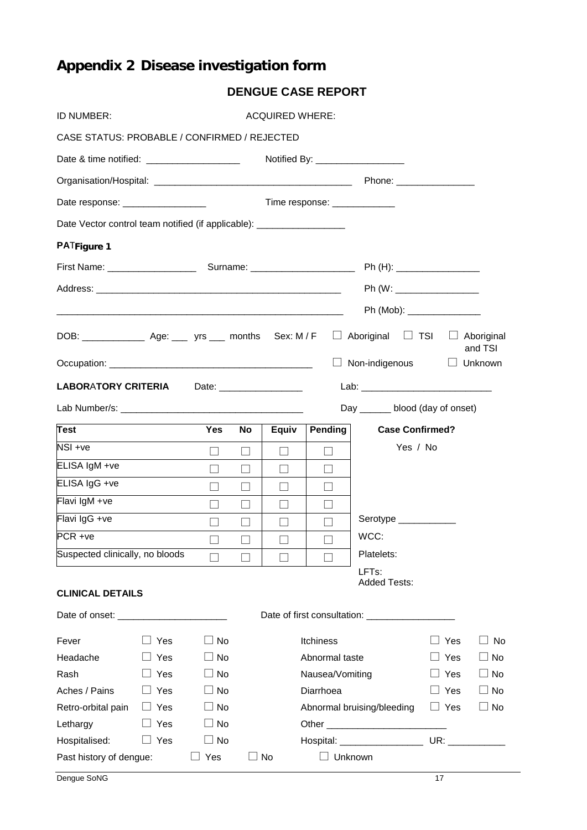# **Appendix 2 Disease investigation form**

| ID NUMBER:                                                                                                   | <b>ACQUIRED WHERE:</b> |                            |           |                                    |                 |                                |            |                |
|--------------------------------------------------------------------------------------------------------------|------------------------|----------------------------|-----------|------------------------------------|-----------------|--------------------------------|------------|----------------|
| CASE STATUS: PROBABLE / CONFIRMED / REJECTED                                                                 |                        |                            |           |                                    |                 |                                |            |                |
| Date & time notified: ______________________                                                                 |                        |                            |           | Notified By: _____________________ |                 |                                |            |                |
|                                                                                                              |                        |                            |           |                                    |                 |                                |            |                |
| Date response: __________________                                                                            |                        |                            |           |                                    |                 | Time response: ______________  |            |                |
| Date Vector control team notified (if applicable): __________________                                        |                        |                            |           |                                    |                 |                                |            |                |
| <b>PATFigure 1</b>                                                                                           |                        |                            |           |                                    |                 |                                |            |                |
|                                                                                                              |                        |                            |           |                                    |                 |                                |            |                |
|                                                                                                              |                        |                            |           |                                    |                 |                                |            |                |
|                                                                                                              |                        | Ph (Mob): ________________ |           |                                    |                 |                                |            |                |
| DOB: $\qquad \qquad$ Age: $\qquad \qquad$ yrs months Sex: M/F $\Box$ Aboriginal $\Box$ TSI $\Box$ Aboriginal |                        |                            |           |                                    |                 |                                |            | and TSI        |
|                                                                                                              |                        |                            |           |                                    |                 | $\Box$ Non-indigenous          |            | $\Box$ Unknown |
| <b>LABORATORY CRITERIA</b>                                                                                   |                        |                            |           | Date: __________________           |                 |                                |            |                |
|                                                                                                              |                        |                            |           |                                    |                 | Day _____ blood (day of onset) |            |                |
| <b>Test</b>                                                                                                  |                        | <b>Yes</b>                 | <b>No</b> | Equiv                              | <b>Pending</b>  | <b>Case Confirmed?</b>         |            |                |
| NSI +ve                                                                                                      |                        | $\Box$                     | $\Box$    | $\Box$                             | $\Box$          | Yes / No                       |            |                |
| ELISA IgM +ve                                                                                                |                        | $\perp$                    | П         | $\Box$                             | $\Box$          |                                |            |                |
| ELISA IgG +ve                                                                                                |                        | $\Box$                     | $\Box$    | $\Box$                             | П               |                                |            |                |
| Flavi IgM +ve                                                                                                |                        | $\perp$                    | $\Box$    | $\Box$                             |                 |                                |            |                |
| Flavi IgG +ve                                                                                                |                        | $\Box$                     | $\Box$    | $\Box$                             |                 | Serotype ____________          |            |                |
| PCR +ve                                                                                                      |                        | $\Box$                     | ப         | $\Box$                             |                 | WCC:                           |            |                |
| Suspected clinically, no bloods $\Box$                                                                       |                        |                            |           |                                    |                 | Platelets:                     |            |                |
| <b>CLINICAL DETAILS</b>                                                                                      |                        |                            |           |                                    |                 | LFTs:<br><b>Added Tests:</b>   |            |                |
|                                                                                                              |                        |                            |           |                                    |                 |                                |            |                |
| Fever                                                                                                        | Yes                    | No<br>$\blacksquare$       |           |                                    | Itchiness       |                                | Yes        | No             |
| Headache                                                                                                     | Yes                    | No<br>$\blacksquare$       |           |                                    | Abnormal taste  |                                | Yes        | $\Box$ No      |
| Rash                                                                                                         | Yes                    | No<br>$\perp$              |           |                                    | Nausea/Vomiting |                                | Yes        | $\Box$ No      |
| Aches / Pains                                                                                                | Yes                    | No<br>$\blacksquare$       |           |                                    | Diarrhoea       |                                | Yes        | $\Box$ No      |
| Retro-orbital pain                                                                                           | $\Box$ Yes             | No<br>$\blacksquare$       |           |                                    |                 | Abnormal bruising/bleeding     | $\Box$ Yes | $\Box$ No      |
| Lethargy                                                                                                     | Yes                    | No                         |           |                                    |                 |                                |            |                |
| Hospitalised:                                                                                                | $\Box$ Yes             | $\sqcup$ No                |           |                                    |                 | Hospital: ___________________  | UR:        |                |
| Past history of dengue:                                                                                      |                        | Yes                        |           | No                                 |                 | Unknown                        |            |                |

### **DENGUE CASE REPORT**

**Dengue SoNG** 17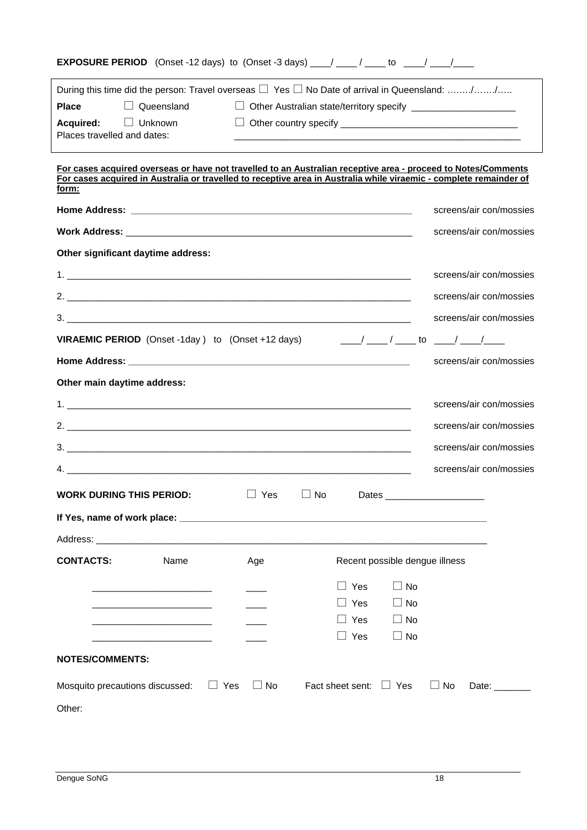| <b>EXPOSURE PERIOD</b> (Onset -12 days) to (Onset -3 days) ____/ ____/ ____ to ____/ ____/                                                                                                                                                                                                                             |            |           |                                                |                                                                    |
|------------------------------------------------------------------------------------------------------------------------------------------------------------------------------------------------------------------------------------------------------------------------------------------------------------------------|------------|-----------|------------------------------------------------|--------------------------------------------------------------------|
| During this time did the person: Travel overseas $\Box$ Yes $\Box$ No Date of arrival in Queensland: //                                                                                                                                                                                                                |            |           |                                                |                                                                    |
| $\Box$ Queensland<br><b>Place</b>                                                                                                                                                                                                                                                                                      |            |           |                                                | □ Other Australian state/territory specify _______________________ |
| Acquired:<br>□ Unknown<br>Places travelled and dates:                                                                                                                                                                                                                                                                  |            |           |                                                |                                                                    |
| For cases acquired overseas or have not travelled to an Australian receptive area - proceed to Notes/Comments<br>For cases acquired in Australia or travelled to receptive area in Australia while viraemic - complete remainder of<br>form:                                                                           |            |           |                                                |                                                                    |
|                                                                                                                                                                                                                                                                                                                        |            |           |                                                | screens/air con/mossies                                            |
|                                                                                                                                                                                                                                                                                                                        |            |           |                                                | screens/air con/mossies                                            |
| Other significant daytime address:                                                                                                                                                                                                                                                                                     |            |           |                                                |                                                                    |
|                                                                                                                                                                                                                                                                                                                        |            |           |                                                | screens/air con/mossies                                            |
| 2. $\frac{1}{2}$ $\frac{1}{2}$ $\frac{1}{2}$ $\frac{1}{2}$ $\frac{1}{2}$ $\frac{1}{2}$ $\frac{1}{2}$ $\frac{1}{2}$ $\frac{1}{2}$ $\frac{1}{2}$ $\frac{1}{2}$ $\frac{1}{2}$ $\frac{1}{2}$ $\frac{1}{2}$ $\frac{1}{2}$ $\frac{1}{2}$ $\frac{1}{2}$ $\frac{1}{2}$ $\frac{1}{2}$ $\frac{1}{2}$ $\frac{1}{2}$ $\frac{1}{2}$ |            |           |                                                | screens/air con/mossies                                            |
|                                                                                                                                                                                                                                                                                                                        |            |           |                                                | screens/air con/mossies                                            |
| <b>VIRAEMIC PERIOD</b> (Onset -1day) to (Onset +12 days)                                                                                                                                                                                                                                                               |            |           |                                                | ____/ ____ / _____ to _____/ _____/_____                           |
|                                                                                                                                                                                                                                                                                                                        |            |           |                                                | screens/air con/mossies                                            |
| Other main daytime address:                                                                                                                                                                                                                                                                                            |            |           |                                                |                                                                    |
|                                                                                                                                                                                                                                                                                                                        |            |           |                                                | screens/air con/mossies                                            |
|                                                                                                                                                                                                                                                                                                                        |            |           |                                                | screens/air con/mossies                                            |
|                                                                                                                                                                                                                                                                                                                        |            |           |                                                | screens/air con/mossies                                            |
|                                                                                                                                                                                                                                                                                                                        |            |           |                                                | screens/air con/mossies                                            |
| <b>WORK DURING THIS PERIOD:</b>                                                                                                                                                                                                                                                                                        | $\Box$ Yes | $\Box$ No |                                                |                                                                    |
|                                                                                                                                                                                                                                                                                                                        |            |           |                                                |                                                                    |
| Address: Analysis and the contract of the contract of the contract of the contract of the contract of the contract of the contract of the contract of the contract of the contract of the contract of the contract of the cont                                                                                         |            |           |                                                |                                                                    |
| <b>CONTACTS:</b><br>Name                                                                                                                                                                                                                                                                                               | Age        |           | Recent possible dengue illness                 |                                                                    |
|                                                                                                                                                                                                                                                                                                                        |            |           | $\Box$ No<br>$\Box$ Yes                        |                                                                    |
|                                                                                                                                                                                                                                                                                                                        |            |           | $\Box$ No<br>⊿ Yes                             |                                                                    |
|                                                                                                                                                                                                                                                                                                                        |            |           | Yes<br>$\Box$ No<br>$\square$ No<br>$\Box$ Yes |                                                                    |
| <b>NOTES/COMMENTS:</b>                                                                                                                                                                                                                                                                                                 |            |           |                                                |                                                                    |
| Mosquito precautions discussed:                                                                                                                                                                                                                                                                                        | $\Box$ Yes | $\Box$ No | Fact sheet sent: $\Box$ Yes                    | $\Box$ No<br>Date:                                                 |
| Other:                                                                                                                                                                                                                                                                                                                 |            |           |                                                |                                                                    |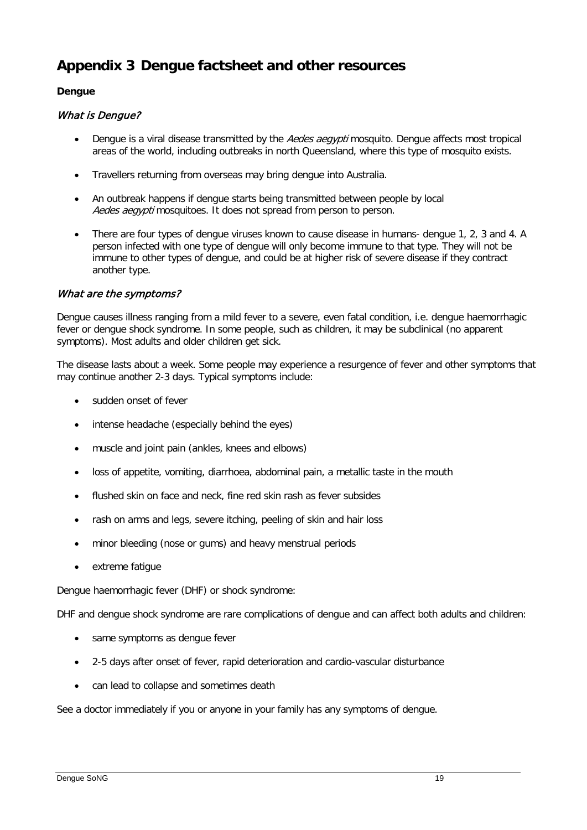# **Appendix 3 Dengue factsheet and other resources**

#### **Dengue**

#### What is Dengue?

- Dengue is a viral disease transmitted by the Aedes aegypti mosquito. Dengue affects most tropical areas of the world, including outbreaks in north Queensland, where this type of mosquito exists.
- Travellers returning from overseas may bring dengue into Australia.
- An outbreak happens if dengue starts being transmitted between people by local Aedes aegypti mosquitoes. It does not spread from person to person.
- There are four types of dengue viruses known to cause disease in humans-dengue 1, 2, 3 and 4. A person infected with one type of dengue will only become immune to that type. They will not be immune to other types of dengue, and could be at higher risk of severe disease if they contract another type.

#### What are the symptoms?

Dengue causes illness ranging from a mild fever to a severe, even fatal condition, i.e. dengue haemorrhagic fever or dengue shock syndrome. In some people, such as children, it may be subclinical (no apparent symptoms). Most adults and older children get sick.

The disease lasts about a week. Some people may experience a resurgence of fever and other symptoms that may continue another 2-3 days. Typical symptoms include:

- sudden onset of fever
- intense headache (especially behind the eyes)
- muscle and joint pain (ankles, knees and elbows)
- loss of appetite, vomiting, diarrhoea, abdominal pain, a metallic taste in the mouth
- flushed skin on face and neck, fine red skin rash as fever subsides
- rash on arms and legs, severe itching, peeling of skin and hair loss
- minor bleeding (nose or gums) and heavy menstrual periods
- extreme fatique

Dengue haemorrhagic fever (DHF) or shock syndrome:

DHF and dengue shock syndrome are rare complications of dengue and can affect both adults and children:

- same symptoms as dengue fever
- 2-5 days after onset of fever, rapid deterioration and cardio-vascular disturbance
- can lead to collapse and sometimes death

See a doctor immediately if you or anyone in your family has any symptoms of dengue.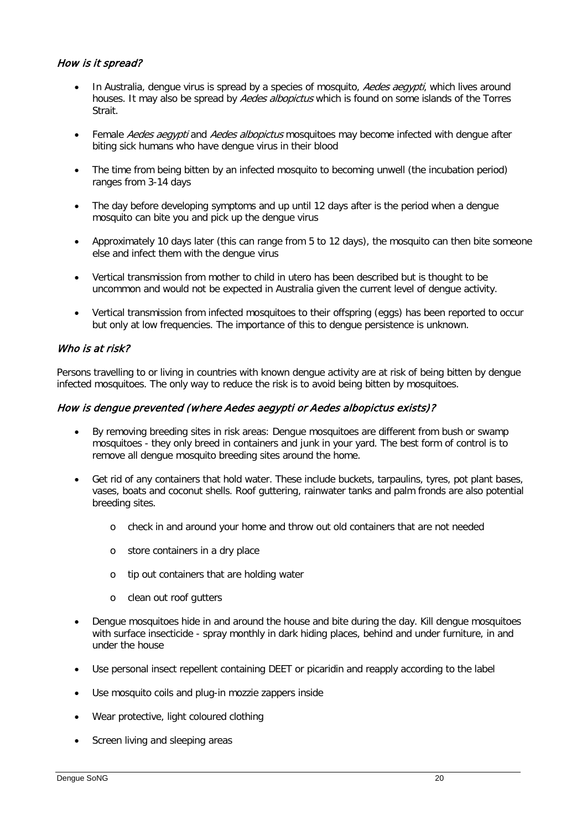### How is it spread?

- In Australia, dengue virus is spread by a species of mosquito, Aedes aegypti, which lives around houses. It may also be spread by *Aedes albopictus* which is found on some islands of the Torres Strait.
- Female Aedes aegypti and Aedes albopictus mosquitoes may become infected with dengue after biting sick humans who have dengue virus in their blood
- The time from being bitten by an infected mosquito to becoming unwell (the incubation period) ranges from 3-14 days
- The day before developing symptoms and up until 12 days after is the period when a dengue mosquito can bite you and pick up the dengue virus
- Approximately 10 days later (this can range from 5 to 12 days), the mosquito can then bite someone else and infect them with the dengue virus
- Vertical transmission from mother to child in utero has been described but is thought to be uncommon and would not be expected in Australia given the current level of dengue activity.
- Vertical transmission from infected mosquitoes to their offspring (eggs) has been reported to occur but only at low frequencies. The importance of this to dengue persistence is unknown.

#### Who is at risk?

Persons travelling to or living in countries with known dengue activity are at risk of being bitten by dengue infected mosquitoes. The only way to reduce the risk is to avoid being bitten by mosquitoes.

#### How is dengue prevented (where Aedes aegypti or Aedes albopictus exists)?

- By removing breeding sites in risk areas: Dengue mosquitoes are different from bush or swamp mosquitoes - they only breed in containers and junk in your yard. The best form of control is to remove all dengue mosquito breeding sites around the home.
- Get rid of any containers that hold water. These include buckets, tarpaulins, tyres, pot plant bases, vases, boats and coconut shells. Roof guttering, rainwater tanks and palm fronds are also potential breeding sites.
	- o check in and around your home and throw out old containers that are not needed
	- o store containers in a dry place
	- o tip out containers that are holding water
	- o clean out roof gutters
- Dengue mosquitoes hide in and around the house and bite during the day. Kill dengue mosquitoes with surface insecticide - spray monthly in dark hiding places, behind and under furniture, in and under the house
- Use personal insect repellent containing DEET or picaridin and reapply according to the label
- Use mosquito coils and plug-in mozzie zappers inside
- Wear protective, light coloured clothing
- Screen living and sleeping areas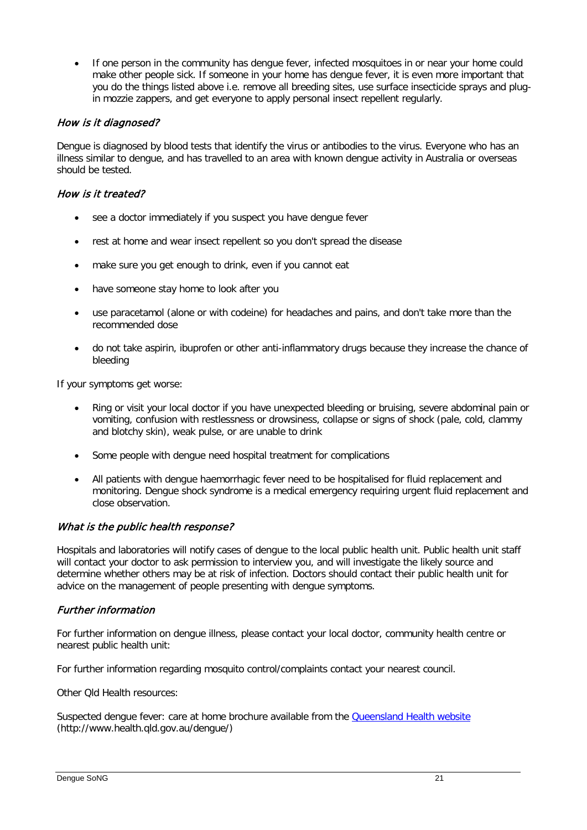• If one person in the community has dengue fever, infected mosquitoes in or near your home could make other people sick. If someone in your home has dengue fever, it is even more important that you do the things listed above i.e. remove all breeding sites, use surface insecticide sprays and plugin mozzie zappers, and get everyone to apply personal insect repellent regularly.

### How is it diagnosed?

Dengue is diagnosed by blood tests that identify the virus or antibodies to the virus. Everyone who has an illness similar to dengue, and has travelled to an area with known dengue activity in Australia or overseas should be tested.

#### How is it treated?

- see a doctor immediately if you suspect you have dengue fever
- rest at home and wear insect repellent so you don't spread the disease
- make sure you get enough to drink, even if you cannot eat
- have someone stay home to look after you
- use paracetamol (alone or with codeine) for headaches and pains, and don't take more than the recommended dose
- do not take aspirin, ibuprofen or other anti-inflammatory drugs because they increase the chance of bleeding

If your symptoms get worse:

- Ring or visit your local doctor if you have unexpected bleeding or bruising, severe abdominal pain or vomiting, confusion with restlessness or drowsiness, collapse or signs of shock (pale, cold, clammy and blotchy skin), weak pulse, or are unable to drink
- Some people with dengue need hospital treatment for complications
- All patients with dengue haemorrhagic fever need to be hospitalised for fluid replacement and monitoring. Dengue shock syndrome is a medical emergency requiring urgent fluid replacement and close observation.

#### What is the public health response?

Hospitals and laboratories will notify cases of dengue to the local public health unit. Public health unit staff will contact your doctor to ask permission to interview you, and will investigate the likely source and determine whether others may be at risk of infection. Doctors should contact their public health unit for advice on the management of people presenting with dengue symptoms.

#### Further information

For further information on dengue illness, please contact your local doctor, community health centre or nearest public health unit:

For further information regarding mosquito control/complaints contact your nearest council.

Other Qld Health resources:

Suspected dengue fever: care at home brochure available from the [Queensland Health website](http://www.health.qld.gov.au/dengue/) (http://www.health.qld.gov.au/dengue/)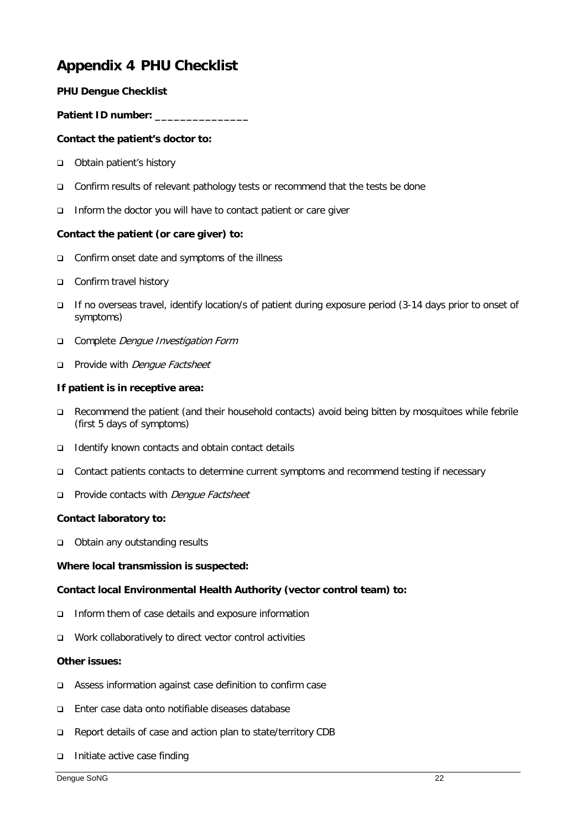# **Appendix 4 PHU Checklist**

#### **PHU Dengue Checklist**

#### **Patient ID number: \_\_\_\_\_\_\_\_\_\_\_\_\_\_\_**

#### **Contact the patient's doctor to:**

- □ Obtain patient's history
- □ Confirm results of relevant pathology tests or recommend that the tests be done
- Inform the doctor you will have to contact patient or care giver

#### **Contact the patient (or care giver) to:**

- □ Confirm onset date and symptoms of the illness
- □ Confirm travel history
- If no overseas travel, identify location/s of patient during exposure period (3-14 days prior to onset of symptoms)
- Complete Denque Investigation Form
- **Provide with Dengue Factsheet**

#### **If patient is in receptive area:**

- Recommend the patient (and their household contacts) avoid being bitten by mosquitoes while febrile (first 5 days of symptoms)
- $\Box$  Identify known contacts and obtain contact details
- Contact patients contacts to determine current symptoms and recommend testing if necessary
- □ Provide contacts with *Denque Factsheet*

#### **Contact laboratory to:**

□ Obtain any outstanding results

#### **Where local transmission is suspected:**

#### **Contact local Environmental Health Authority (vector control team) to:**

- □ Inform them of case details and exposure information
- Work collaboratively to direct vector control activities

#### **Other issues:**

- Assess information against case definition to confirm case
- Enter case data onto notifiable diseases database
- □ Report details of case and action plan to state/territory CDB
- $\Box$  Initiate active case finding